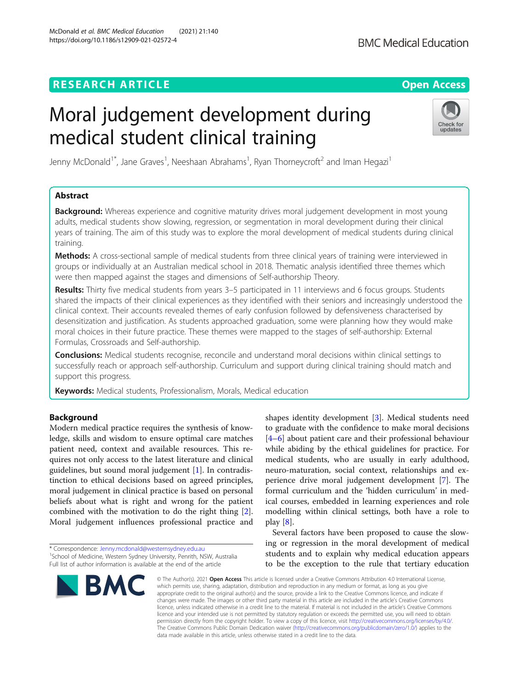# **RESEARCH ARTICLE Example 2014 12:30 The Contract of Contract ACCESS**

# Moral judgement development during medical student clinical training

Jenny McDonald<sup>1\*</sup>, Jane Graves<sup>1</sup>, Neeshaan Abrahams<sup>1</sup>, Ryan Thorneycroft<sup>2</sup> and Iman Hegazi<sup>1</sup>

# Abstract

**Background:** Whereas experience and cognitive maturity drives moral judgement development in most young adults, medical students show slowing, regression, or segmentation in moral development during their clinical years of training. The aim of this study was to explore the moral development of medical students during clinical training.

Methods: A cross-sectional sample of medical students from three clinical years of training were interviewed in groups or individually at an Australian medical school in 2018. Thematic analysis identified three themes which were then mapped against the stages and dimensions of Self-authorship Theory.

Results: Thirty five medical students from years 3–5 participated in 11 interviews and 6 focus groups. Students shared the impacts of their clinical experiences as they identified with their seniors and increasingly understood the clinical context. Their accounts revealed themes of early confusion followed by defensiveness characterised by desensitization and justification. As students approached graduation, some were planning how they would make moral choices in their future practice. These themes were mapped to the stages of self-authorship: External Formulas, Crossroads and Self-authorship.

**Conclusions:** Medical students recognise, reconcile and understand moral decisions within clinical settings to successfully reach or approach self-authorship. Curriculum and support during clinical training should match and support this progress.

**Keywords:** Medical students, Professionalism, Morals, Medical education

# Background

Modern medical practice requires the synthesis of knowledge, skills and wisdom to ensure optimal care matches patient need, context and available resources. This requires not only access to the latest literature and clinical guidelines, but sound moral judgement [\[1\]](#page-7-0). In contradistinction to ethical decisions based on agreed principles, moral judgement in clinical practice is based on personal beliefs about what is right and wrong for the patient combined with the motivation to do the right thing [\[2](#page-7-0)]. Moral judgement influences professional practice and

shapes identity development [\[3](#page-7-0)]. Medical students need to graduate with the confidence to make moral decisions [[4](#page-7-0)–[6\]](#page-7-0) about patient care and their professional behaviour while abiding by the ethical guidelines for practice. For medical students, who are usually in early adulthood, neuro-maturation, social context, relationships and experience drive moral judgement development [\[7](#page-7-0)]. The formal curriculum and the 'hidden curriculum' in medical courses, embedded in learning experiences and role modelling within clinical settings, both have a role to play [\[8](#page-7-0)]. Several factors have been proposed to cause the slow-

ing or regression in the moral development of medical students and to explain why medical education appears to be the exception to the rule that tertiary education

© The Author(s), 2021 **Open Access** This article is licensed under a Creative Commons Attribution 4.0 International License, which permits use, sharing, adaptation, distribution and reproduction in any medium or format, as long as you give appropriate credit to the original author(s) and the source, provide a link to the Creative Commons licence, and indicate if changes were made. The images or other third party material in this article are included in the article's Creative Commons licence, unless indicated otherwise in a credit line to the material. If material is not included in the article's Creative Commons licence and your intended use is not permitted by statutory regulation or exceeds the permitted use, you will need to obtain permission directly from the copyright holder. To view a copy of this licence, visit [http://creativecommons.org/licenses/by/4.0/.](http://creativecommons.org/licenses/by/4.0/) The Creative Commons Public Domain Dedication waiver [\(http://creativecommons.org/publicdomain/zero/1.0/](http://creativecommons.org/publicdomain/zero/1.0/)) applies to the data made available in this article, unless otherwise stated in a credit line to the data.

\* Correspondence: [Jenny.mcdonald@westernsydney.edu.au](mailto:Jenny.mcdonald@westernsydney.edu.au) <sup>1</sup>







<sup>&</sup>lt;sup>1</sup>School of Medicine, Western Sydney University, Penrith, NSW, Australia Full list of author information is available at the end of the article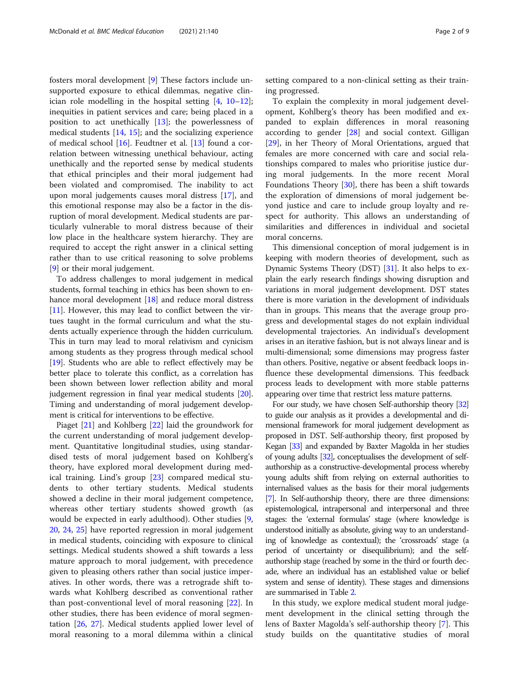fosters moral development [\[9](#page-7-0)] These factors include unsupported exposure to ethical dilemmas, negative clinician role modelling in the hospital setting [\[4,](#page-7-0) [10](#page-7-0)–[12](#page-7-0)]; inequities in patient services and care; being placed in a position to act unethically [\[13](#page-7-0)]; the powerlessness of medical students [[14](#page-7-0), [15\]](#page-7-0); and the socializing experience of medical school [\[16](#page-7-0)]. Feudtner et al. [[13\]](#page-7-0) found a correlation between witnessing unethical behaviour, acting unethically and the reported sense by medical students that ethical principles and their moral judgement had been violated and compromised. The inability to act upon moral judgements causes moral distress [\[17](#page-7-0)], and this emotional response may also be a factor in the disruption of moral development. Medical students are particularly vulnerable to moral distress because of their low place in the healthcare system hierarchy. They are required to accept the right answer in a clinical setting rather than to use critical reasoning to solve problems [[9\]](#page-7-0) or their moral judgement.

To address challenges to moral judgement in medical students, formal teaching in ethics has been shown to en-hance moral development [[18\]](#page-7-0) and reduce moral distress [[11](#page-7-0)]. However, this may lead to conflict between the virtues taught in the formal curriculum and what the students actually experience through the hidden curriculum. This in turn may lead to moral relativism and cynicism among students as they progress through medical school [[19](#page-7-0)]. Students who are able to reflect effectively may be better place to tolerate this conflict, as a correlation has been shown between lower reflection ability and moral judgement regression in final year medical students [[20](#page-7-0)]. Timing and understanding of moral judgement development is critical for interventions to be effective.

Piaget [[21\]](#page-7-0) and Kohlberg [[22\]](#page-7-0) laid the groundwork for the current understanding of moral judgement development. Quantitative longitudinal studies, using standardised tests of moral judgement based on Kohlberg's theory, have explored moral development during medical training. Lind's group [\[23](#page-7-0)] compared medical students to other tertiary students. Medical students showed a decline in their moral judgement competence, whereas other tertiary students showed growth (as would be expected in early adulthood). Other studies [\[9](#page-7-0), [20,](#page-7-0) [24,](#page-7-0) [25](#page-7-0)] have reported regression in moral judgement in medical students, coinciding with exposure to clinical settings. Medical students showed a shift towards a less mature approach to moral judgement, with precedence given to pleasing others rather than social justice imperatives. In other words, there was a retrograde shift towards what Kohlberg described as conventional rather than post-conventional level of moral reasoning [\[22\]](#page-7-0). In other studies, there has been evidence of moral segmentation [[26,](#page-7-0) [27](#page-7-0)]. Medical students applied lower level of moral reasoning to a moral dilemma within a clinical setting compared to a non-clinical setting as their training progressed.

To explain the complexity in moral judgement development, Kohlberg's theory has been modified and expanded to explain differences in moral reasoning according to gender [[28\]](#page-7-0) and social context. Gilligan [[29\]](#page-7-0), in her Theory of Moral Orientations, argued that females are more concerned with care and social relationships compared to males who prioritise justice during moral judgements. In the more recent Moral Foundations Theory [[30\]](#page-7-0), there has been a shift towards the exploration of dimensions of moral judgement beyond justice and care to include group loyalty and respect for authority. This allows an understanding of similarities and differences in individual and societal moral concerns.

This dimensional conception of moral judgement is in keeping with modern theories of development, such as Dynamic Systems Theory (DST) [\[31\]](#page-7-0). It also helps to explain the early research findings showing disruption and variations in moral judgement development. DST states there is more variation in the development of individuals than in groups. This means that the average group progress and developmental stages do not explain individual developmental trajectories. An individual's development arises in an iterative fashion, but is not always linear and is multi-dimensional; some dimensions may progress faster than others. Positive, negative or absent feedback loops influence these developmental dimensions. This feedback process leads to development with more stable patterns appearing over time that restrict less mature patterns.

For our study, we have chosen Self-authorship theory [\[32](#page-7-0)] to guide our analysis as it provides a developmental and dimensional framework for moral judgement development as proposed in DST. Self-authorship theory, first proposed by Kegan [\[33](#page-7-0)] and expanded by Baxter Magolda in her studies of young adults [\[32](#page-7-0)], conceptualises the development of selfauthorship as a constructive-developmental process whereby young adults shift from relying on external authorities to internalised values as the basis for their moral judgements [[7](#page-7-0)]. In Self-authorship theory, there are three dimensions: epistemological, intrapersonal and interpersonal and three stages: the 'external formulas' stage (where knowledge is understood initially as absolute, giving way to an understanding of knowledge as contextual); the 'crossroads' stage (a period of uncertainty or disequilibrium); and the selfauthorship stage (reached by some in the third or fourth decade, where an individual has an established value or belief system and sense of identity). These stages and dimensions are summarised in Table [2.](#page-3-0)

In this study, we explore medical student moral judgement development in the clinical setting through the lens of Baxter Magolda's self-authorship theory [[7\]](#page-7-0). This study builds on the quantitative studies of moral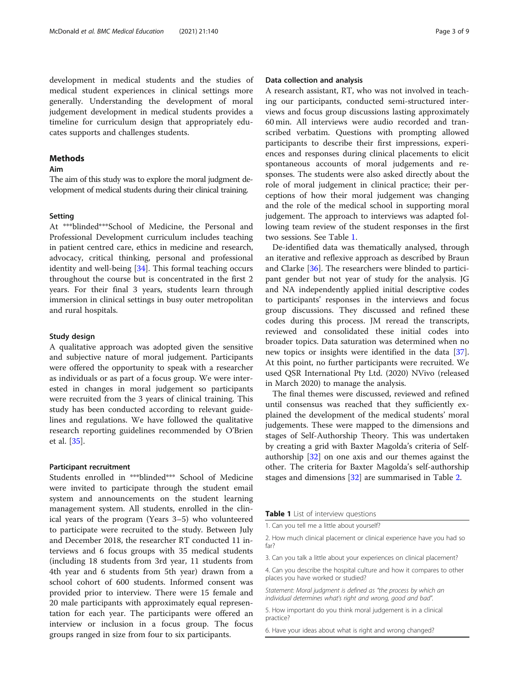development in medical students and the studies of medical student experiences in clinical settings more generally. Understanding the development of moral judgement development in medical students provides a timeline for curriculum design that appropriately educates supports and challenges students.

# Methods

### Aim

The aim of this study was to explore the moral judgment development of medical students during their clinical training.

#### **Setting**

At \*\*\*blinded\*\*\*School of Medicine, the Personal and Professional Development curriculum includes teaching in patient centred care, ethics in medicine and research, advocacy, critical thinking, personal and professional identity and well-being [\[34\]](#page-7-0). This formal teaching occurs throughout the course but is concentrated in the first 2 years. For their final 3 years, students learn through immersion in clinical settings in busy outer metropolitan and rural hospitals.

#### Study design

A qualitative approach was adopted given the sensitive and subjective nature of moral judgement. Participants were offered the opportunity to speak with a researcher as individuals or as part of a focus group. We were interested in changes in moral judgement so participants were recruited from the 3 years of clinical training. This study has been conducted according to relevant guidelines and regulations. We have followed the qualitative research reporting guidelines recommended by O'Brien et al. [\[35](#page-7-0)].

#### Participant recruitment

Students enrolled in \*\*\*blinded\*\*\* School of Medicine were invited to participate through the student email system and announcements on the student learning management system. All students, enrolled in the clinical years of the program (Years 3–5) who volunteered to participate were recruited to the study. Between July and December 2018, the researcher RT conducted 11 interviews and 6 focus groups with 35 medical students (including 18 students from 3rd year, 11 students from 4th year and 6 students from 5th year) drawn from a school cohort of 600 students. Informed consent was provided prior to interview. There were 15 female and 20 male participants with approximately equal representation for each year. The participants were offered an interview or inclusion in a focus group. The focus groups ranged in size from four to six participants.

#### Data collection and analysis

A research assistant, RT, who was not involved in teaching our participants, conducted semi-structured interviews and focus group discussions lasting approximately 60 min. All interviews were audio recorded and transcribed verbatim. Questions with prompting allowed participants to describe their first impressions, experiences and responses during clinical placements to elicit spontaneous accounts of moral judgements and responses. The students were also asked directly about the role of moral judgement in clinical practice; their perceptions of how their moral judgement was changing and the role of the medical school in supporting moral judgement. The approach to interviews was adapted following team review of the student responses in the first two sessions. See Table 1.

De-identified data was thematically analysed, through an iterative and reflexive approach as described by Braun and Clarke [[36](#page-7-0)]. The researchers were blinded to participant gender but not year of study for the analysis. JG and NA independently applied initial descriptive codes to participants' responses in the interviews and focus group discussions. They discussed and refined these codes during this process. JM reread the transcripts, reviewed and consolidated these initial codes into broader topics. Data saturation was determined when no new topics or insights were identified in the data [\[37](#page-7-0)]. At this point, no further participants were recruited. We used QSR International Pty Ltd. (2020) NVivo (released in March 2020) to manage the analysis.

The final themes were discussed, reviewed and refined until consensus was reached that they sufficiently explained the development of the medical students' moral judgements. These were mapped to the dimensions and stages of Self-Authorship Theory. This was undertaken by creating a grid with Baxter Magolda's criteria of Selfauthorship [\[32](#page-7-0)] on one axis and our themes against the other. The criteria for Baxter Magolda's self-authorship stages and dimensions [\[32](#page-7-0)] are summarised in Table [2.](#page-3-0)

Table 1 List of interview questions

1. Can you tell me a little about yourself?

3. Can you talk a little about your experiences on clinical placement?

4. Can you describe the hospital culture and how it compares to other places you have worked or studied?

Statement: Moral judgment is defined as "the process by which an individual determines what's right and wrong, good and bad".

5. How important do you think moral judgement is in a clinical practice?

6. Have your ideas about what is right and wrong changed?

<sup>2.</sup> How much clinical placement or clinical experience have you had so far?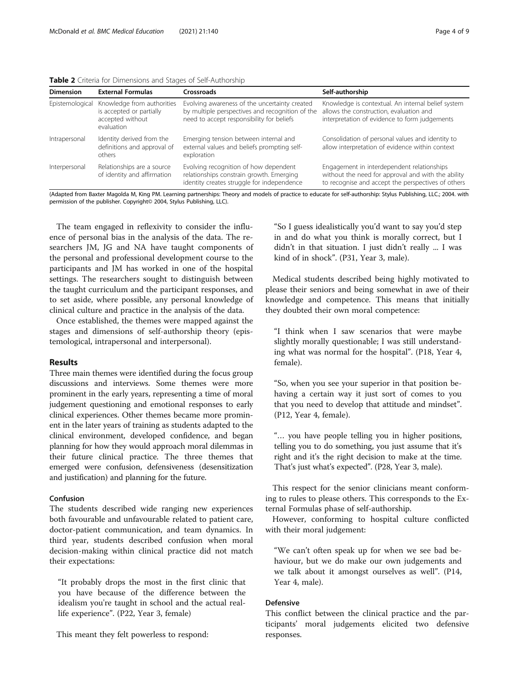<span id="page-3-0"></span>

|  |  |  | Table 2 Criteria for Dimensions and Stages of Self-Authorship |  |
|--|--|--|---------------------------------------------------------------|--|
|  |  |  |                                                               |  |

| <b>Dimension</b> | <b>External Formulas</b>                                                                 | Crossroads                                                                                                                                    | Self-authorship                                                                                                                                        |
|------------------|------------------------------------------------------------------------------------------|-----------------------------------------------------------------------------------------------------------------------------------------------|--------------------------------------------------------------------------------------------------------------------------------------------------------|
| Epistemological  | Knowledge from authorities<br>is accepted or partially<br>accepted without<br>evaluation | Evolving awareness of the uncertainty created<br>by multiple perspectives and recognition of the<br>need to accept responsibility for beliefs | Knowledge is contextual. An internal belief system<br>allows the construction, evaluation and<br>interpretation of evidence to form judgements         |
| Intrapersonal    | Identity derived from the<br>definitions and approval of<br>others                       | Emerging tension between internal and<br>external values and beliefs prompting self-<br>exploration                                           | Consolidation of personal values and identity to<br>allow interpretation of evidence within context                                                    |
| Interpersonal    | Relationships are a source<br>of identity and affirmation                                | Evolving recognition of how dependent<br>relationships constrain growth. Emerging<br>identity creates struggle for independence               | Engagement in interdependent relationships<br>without the need for approval and with the ability<br>to recognise and accept the perspectives of others |

(Adapted from Baxter Magolda M, King PM. Learning partnerships: Theory and models of practice to educate for self-authorship: Stylus Publishing, LLC.; 2004. with permission of the publisher. Copyright© 2004, Stylus Publishing, LLC).

The team engaged in reflexivity to consider the influence of personal bias in the analysis of the data. The researchers JM, JG and NA have taught components of the personal and professional development course to the participants and JM has worked in one of the hospital settings. The researchers sought to distinguish between the taught curriculum and the participant responses, and to set aside, where possible, any personal knowledge of clinical culture and practice in the analysis of the data.

Once established, the themes were mapped against the stages and dimensions of self-authorship theory (epistemological, intrapersonal and interpersonal).

#### Results

Three main themes were identified during the focus group discussions and interviews. Some themes were more prominent in the early years, representing a time of moral judgement questioning and emotional responses to early clinical experiences. Other themes became more prominent in the later years of training as students adapted to the clinical environment, developed confidence, and began planning for how they would approach moral dilemmas in their future clinical practice. The three themes that emerged were confusion, defensiveness (desensitization and justification) and planning for the future.

## Confusion

The students described wide ranging new experiences both favourable and unfavourable related to patient care, doctor-patient communication, and team dynamics. In third year, students described confusion when moral decision-making within clinical practice did not match their expectations:

"It probably drops the most in the first clinic that you have because of the difference between the idealism you're taught in school and the actual reallife experience". (P22, Year 3, female)

This meant they felt powerless to respond:

"So I guess idealistically you'd want to say you'd step in and do what you think is morally correct, but I didn't in that situation. I just didn't really ... I was kind of in shock". (P31, Year 3, male).

Medical students described being highly motivated to please their seniors and being somewhat in awe of their knowledge and competence. This means that initially they doubted their own moral competence:

"I think when I saw scenarios that were maybe slightly morally questionable; I was still understanding what was normal for the hospital". (P18, Year 4, female).

"So, when you see your superior in that position behaving a certain way it just sort of comes to you that you need to develop that attitude and mindset". (P12, Year 4, female).

"… you have people telling you in higher positions, telling you to do something, you just assume that it's right and it's the right decision to make at the time. That's just what's expected". (P28, Year 3, male).

This respect for the senior clinicians meant conforming to rules to please others. This corresponds to the External Formulas phase of self-authorship.

However, conforming to hospital culture conflicted with their moral judgement:

"We can't often speak up for when we see bad behaviour, but we do make our own judgements and we talk about it amongst ourselves as well". (P14, Year 4, male).

# Defensive

This conflict between the clinical practice and the participants' moral judgements elicited two defensive responses.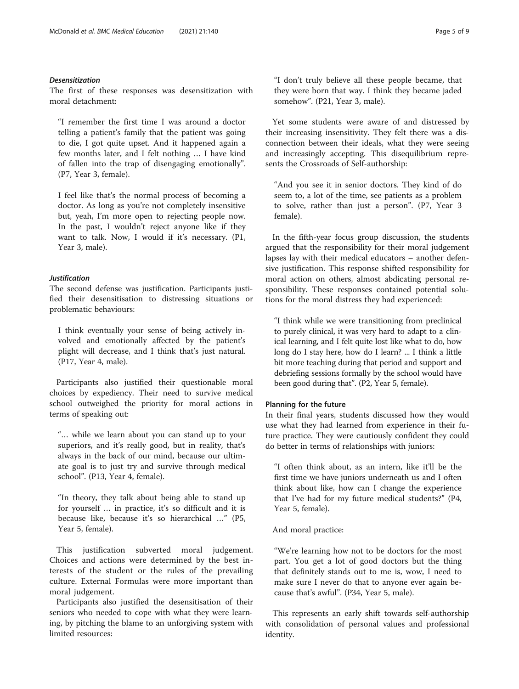## Desensitization

The first of these responses was desensitization with moral detachment:

"I remember the first time I was around a doctor telling a patient's family that the patient was going to die, I got quite upset. And it happened again a few months later, and I felt nothing … I have kind of fallen into the trap of disengaging emotionally". (P7, Year 3, female).

I feel like that's the normal process of becoming a doctor. As long as you're not completely insensitive but, yeah, I'm more open to rejecting people now. In the past, I wouldn't reject anyone like if they want to talk. Now, I would if it's necessary. (P1, Year 3, male).

# Justification

The second defense was justification. Participants justified their desensitisation to distressing situations or problematic behaviours:

I think eventually your sense of being actively involved and emotionally affected by the patient's plight will decrease, and I think that's just natural. (P17, Year 4, male).

Participants also justified their questionable moral choices by expediency. Their need to survive medical school outweighed the priority for moral actions in terms of speaking out:

"… while we learn about you can stand up to your superiors, and it's really good, but in reality, that's always in the back of our mind, because our ultimate goal is to just try and survive through medical school". (P13, Year 4, female).

"In theory, they talk about being able to stand up for yourself … in practice, it's so difficult and it is because like, because it's so hierarchical …" (P5, Year 5, female).

This justification subverted moral judgement. Choices and actions were determined by the best interests of the student or the rules of the prevailing culture. External Formulas were more important than moral judgement.

Participants also justified the desensitisation of their seniors who needed to cope with what they were learning, by pitching the blame to an unforgiving system with limited resources:

"I don't truly believe all these people became, that they were born that way. I think they became jaded somehow". (P21, Year 3, male).

Yet some students were aware of and distressed by their increasing insensitivity. They felt there was a disconnection between their ideals, what they were seeing and increasingly accepting. This disequilibrium represents the Crossroads of Self-authorship:

"And you see it in senior doctors. They kind of do seem to, a lot of the time, see patients as a problem to solve, rather than just a person". (P7, Year 3 female).

In the fifth-year focus group discussion, the students argued that the responsibility for their moral judgement lapses lay with their medical educators – another defensive justification. This response shifted responsibility for moral action on others, almost abdicating personal responsibility. These responses contained potential solutions for the moral distress they had experienced:

"I think while we were transitioning from preclinical to purely clinical, it was very hard to adapt to a clinical learning, and I felt quite lost like what to do, how long do I stay here, how do I learn? ... I think a little bit more teaching during that period and support and debriefing sessions formally by the school would have been good during that". (P2, Year 5, female).

# Planning for the future

In their final years, students discussed how they would use what they had learned from experience in their future practice. They were cautiously confident they could do better in terms of relationships with juniors:

"I often think about, as an intern, like it'll be the first time we have juniors underneath us and I often think about like, how can I change the experience that I've had for my future medical students?" (P4, Year 5, female).

### And moral practice:

"We're learning how not to be doctors for the most part. You get a lot of good doctors but the thing that definitely stands out to me is, wow, I need to make sure I never do that to anyone ever again because that's awful". (P34, Year 5, male).

This represents an early shift towards self-authorship with consolidation of personal values and professional identity.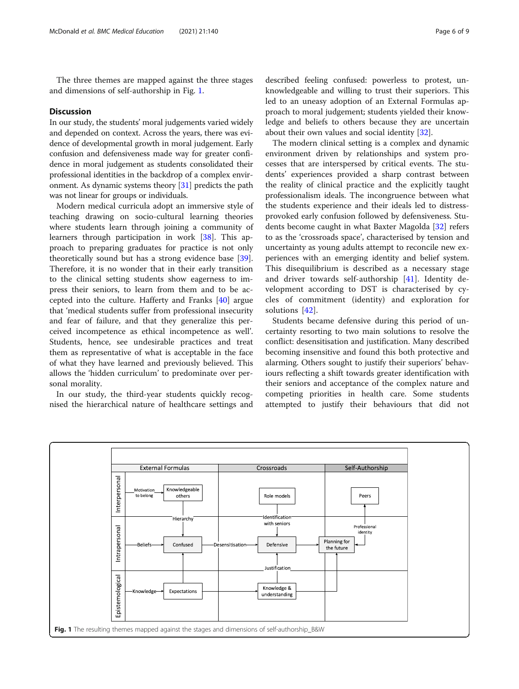The three themes are mapped against the three stages and dimensions of self-authorship in Fig. 1.

#### **Discussion**

In our study, the students' moral judgements varied widely and depended on context. Across the years, there was evidence of developmental growth in moral judgement. Early confusion and defensiveness made way for greater confidence in moral judgement as students consolidated their professional identities in the backdrop of a complex environment. As dynamic systems theory [\[31](#page-7-0)] predicts the path was not linear for groups or individuals.

Modern medical curricula adopt an immersive style of teaching drawing on socio-cultural learning theories where students learn through joining a community of learners through participation in work [[38\]](#page-7-0). This approach to preparing graduates for practice is not only theoretically sound but has a strong evidence base [\[39](#page-7-0)]. Therefore, it is no wonder that in their early transition to the clinical setting students show eagerness to impress their seniors, to learn from them and to be accepted into the culture. Hafferty and Franks [[40\]](#page-7-0) argue that 'medical students suffer from professional insecurity and fear of failure, and that they generalize this perceived incompetence as ethical incompetence as well'. Students, hence, see undesirable practices and treat them as representative of what is acceptable in the face of what they have learned and previously believed. This allows the 'hidden curriculum' to predominate over personal morality.

In our study, the third-year students quickly recognised the hierarchical nature of healthcare settings and

described feeling confused: powerless to protest, unknowledgeable and willing to trust their superiors. This led to an uneasy adoption of an External Formulas approach to moral judgement; students yielded their knowledge and beliefs to others because they are uncertain about their own values and social identity [[32\]](#page-7-0).

The modern clinical setting is a complex and dynamic environment driven by relationships and system processes that are interspersed by critical events. The students' experiences provided a sharp contrast between the reality of clinical practice and the explicitly taught professionalism ideals. The incongruence between what the students experience and their ideals led to distressprovoked early confusion followed by defensiveness. Students become caught in what Baxter Magolda [[32\]](#page-7-0) refers to as the 'crossroads space', characterised by tension and uncertainty as young adults attempt to reconcile new experiences with an emerging identity and belief system. This disequilibrium is described as a necessary stage and driver towards self-authorship [[41\]](#page-7-0). Identity development according to DST is characterised by cycles of commitment (identity) and exploration for solutions [[42\]](#page-7-0).

Students became defensive during this period of uncertainty resorting to two main solutions to resolve the conflict: desensitisation and justification. Many described becoming insensitive and found this both protective and alarming. Others sought to justify their superiors' behaviours reflecting a shift towards greater identification with their seniors and acceptance of the complex nature and competing priorities in health care. Some students attempted to justify their behaviours that did not

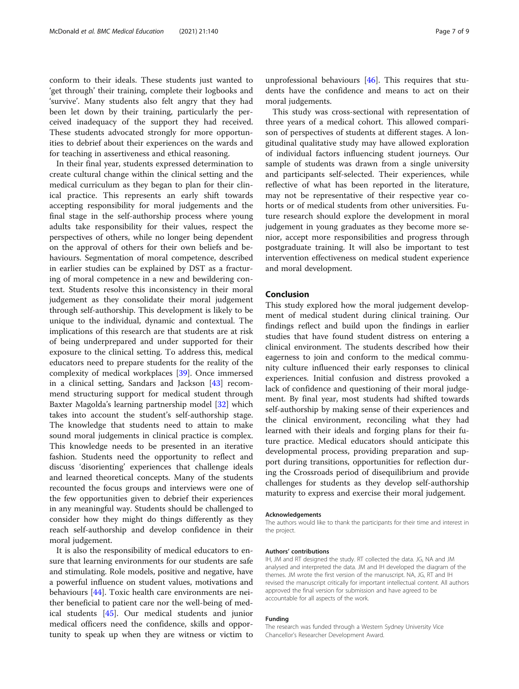conform to their ideals. These students just wanted to 'get through' their training, complete their logbooks and 'survive'. Many students also felt angry that they had been let down by their training, particularly the perceived inadequacy of the support they had received. These students advocated strongly for more opportunities to debrief about their experiences on the wards and for teaching in assertiveness and ethical reasoning.

In their final year, students expressed determination to create cultural change within the clinical setting and the medical curriculum as they began to plan for their clinical practice. This represents an early shift towards accepting responsibility for moral judgements and the final stage in the self-authorship process where young adults take responsibility for their values, respect the perspectives of others, while no longer being dependent on the approval of others for their own beliefs and behaviours. Segmentation of moral competence, described in earlier studies can be explained by DST as a fracturing of moral competence in a new and bewildering context. Students resolve this inconsistency in their moral judgement as they consolidate their moral judgement through self-authorship. This development is likely to be unique to the individual, dynamic and contextual. The implications of this research are that students are at risk of being underprepared and under supported for their exposure to the clinical setting. To address this, medical educators need to prepare students for the reality of the complexity of medical workplaces [\[39](#page-7-0)]. Once immersed in a clinical setting, Sandars and Jackson [\[43](#page-7-0)] recommend structuring support for medical student through Baxter Magolda's learning partnership model [[32\]](#page-7-0) which takes into account the student's self-authorship stage. The knowledge that students need to attain to make sound moral judgements in clinical practice is complex. This knowledge needs to be presented in an iterative fashion. Students need the opportunity to reflect and discuss 'disorienting' experiences that challenge ideals and learned theoretical concepts. Many of the students recounted the focus groups and interviews were one of the few opportunities given to debrief their experiences in any meaningful way. Students should be challenged to consider how they might do things differently as they reach self-authorship and develop confidence in their moral judgement.

It is also the responsibility of medical educators to ensure that learning environments for our students are safe and stimulating. Role models, positive and negative, have a powerful influence on student values, motivations and behaviours [\[44\]](#page-8-0). Toxic health care environments are neither beneficial to patient care nor the well-being of medical students [[45\]](#page-8-0). Our medical students and junior medical officers need the confidence, skills and opportunity to speak up when they are witness or victim to unprofessional behaviours [\[46](#page-8-0)]. This requires that students have the confidence and means to act on their moral judgements.

This study was cross-sectional with representation of three years of a medical cohort. This allowed comparison of perspectives of students at different stages. A longitudinal qualitative study may have allowed exploration of individual factors influencing student journeys. Our sample of students was drawn from a single university and participants self-selected. Their experiences, while reflective of what has been reported in the literature, may not be representative of their respective year cohorts or of medical students from other universities. Future research should explore the development in moral judgement in young graduates as they become more senior, accept more responsibilities and progress through postgraduate training. It will also be important to test intervention effectiveness on medical student experience and moral development.

#### Conclusion

This study explored how the moral judgement development of medical student during clinical training. Our findings reflect and build upon the findings in earlier studies that have found student distress on entering a clinical environment. The students described how their eagerness to join and conform to the medical community culture influenced their early responses to clinical experiences. Initial confusion and distress provoked a lack of confidence and questioning of their moral judgement. By final year, most students had shifted towards self-authorship by making sense of their experiences and the clinical environment, reconciling what they had learned with their ideals and forging plans for their future practice. Medical educators should anticipate this developmental process, providing preparation and support during transitions, opportunities for reflection during the Crossroads period of disequilibrium and provide challenges for students as they develop self-authorship maturity to express and exercise their moral judgement.

#### Acknowledgements

The authors would like to thank the participants for their time and interest in the project.

#### Authors' contributions

IH, JM and RT designed the study. RT collected the data. JG, NA and JM analysed and interpreted the data. JM and IH developed the diagram of the themes. JM wrote the first version of the manuscript. NA, JG, RT and IH revised the manuscript critically for important intellectual content. All authors approved the final version for submission and have agreed to be accountable for all aspects of the work.

#### Funding

The research was funded through a Western Sydney University Vice Chancellor's Researcher Development Award.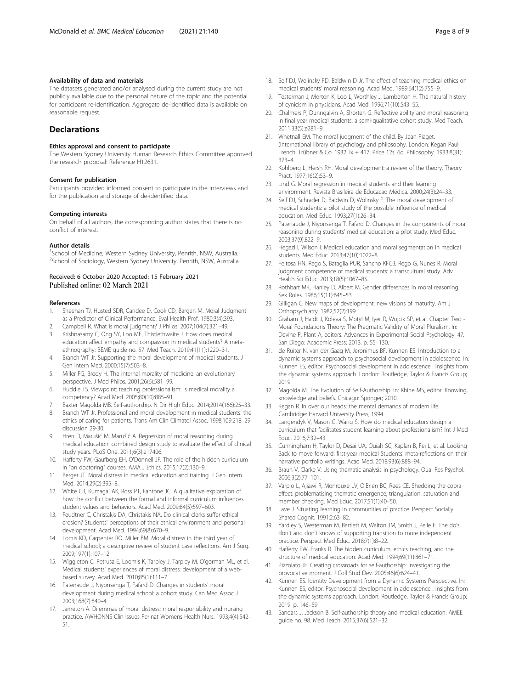#### <span id="page-7-0"></span>Availability of data and materials

The datasets generated and/or analysed during the current study are not publicly available due to the personal nature of the topic and the potential for participant re-identification. Aggregate de-identified data is available on reasonable request.

# **Declarations**

#### Ethics approval and consent to participate

The Western Sydney University Human Research Ethics Committee approved the research proposal: Reference H12631.

### Consent for publication

Participants provided informed consent to participate in the interviews and for the publication and storage of de-identified data.

#### Competing interests

On behalf of all authors, the corresponding author states that there is no conflict of interest.

#### Author details

<sup>1</sup>School of Medicine, Western Sydney University, Penrith, NSW, Australia. <sup>2</sup>School of Sociology, Western Sydney University, Penrith, NSW, Australia.

#### Received: 6 October 2020 Accepted: 15 February 2021 Published online: 02 March 2021

#### References

- 1. Sheehan TJ, Husted SDR, Candee D, Cook CD, Bargen M. Moral Judgment as a Predictor of Clinical Performance. Eval Health Prof. 1980;3(4):393.
- 2. Campbell R. What is moral judgment? J Philos. 2007;104(7):321–49.
- 3. Krishnasamy C, Ong SY, Loo ME, Thistlethwaite J. How does medical education affect empathy and compassion in medical students? A metaethnography: BEME guide no. 57. Med Teach. 2019;41(11):1220–31.
- 4. Branch WT Jr. Supporting the moral development of medical students. J Gen Intern Med. 2000;15(7):503–8.
- 5. Miller FG, Brody H. The internal morality of medicine: an evolutionary perspective. J Med Philos. 2001;26(6):581–99.
- 6. Huddle TS. Viewpoint: teaching professionalism: is medical morality a competency? Acad Med. 2005;80(10):885–91.
- 7. Baxter Magolda MB. Self-authorship. N Dir High Educ. 2014;2014(166):25–33.
- 8. Branch WT Jr. Professional and moral development in medical students: the ethics of caring for patients. Trans Am Clin Climatol Assoc. 1998;109:218–29 discussion 29-30.
- 9. Hren D, Marušić M, Marušić A. Regression of moral reasoning during medical education: combined design study to evaluate the effect of clinical study years. PLoS One. 2011;6(3):e17406.
- 10. Hafferty FW, Gaufberg EH, O'Donnell JF. The role of the hidden curriculum in "on doctoring" courses. AMA J Ethics. 2015;17(2):130–9.
- 11. Berger JT. Moral distress in medical education and training. J Gen Intern Med. 2014;29(2):395–8.
- 12. White CB, Kumagai AK, Ross PT, Fantone JC. A qualitative exploration of how the conflict between the formal and informal curriculum influences student values and behaviors. Acad Med. 2009;84(5):597–603.
- 13. Feudtner C, Christakis DA, Christakis NA. Do clinical clerks suffer ethical erosion? Students' perceptions of their ethical environment and personal development. Acad Med. 1994;69(8):670–9.
- 14. Lomis KD, Carpenter RO, Miller BM. Moral distress in the third year of medical school; a descriptive review of student case reflections. Am J Surg. 2009;197(1):107–12.
- 15. Wiggleton C, Petrusa E, Loomis K, Tarpley J, Tarpley M, O'gorman ML, et al. Medical students' experiences of moral distress: development of a webbased survey. Acad Med. 2010;85(1):111–7.
- 16. Patenaude J, Niyonsenga T, Fafard D. Changes in students' moral development during medical school: a cohort study. Can Med Assoc J. 2003;168(7):840–4.
- 17. Jameton A. Dilemmas of moral distress: moral responsibility and nursing practice. AWHONNS Clin Issues Perinat Womens Health Nurs. 1993;4(4):542– 51.
- 18. Self DJ, Wolinsky FD, Baldwin D Jr. The effect of teaching medical ethics on medical students' moral reasoning. Acad Med. 1989;64(12):755–9.
- 19. Testerman J, Morton K, Loo L, Worthley J, Lamberton H. The natural history of cynicism in physicians. Acad Med. 1996;71(10):S43–S5.
- 20. Chalmers P, Dunngalvin A, Shorten G. Reflective ability and moral reasoning in final year medical students: a semi-qualitative cohort study. Med Teach. 2011;33(5):e281–9.
- 21. Whetnall EM. The moral judgment of the child. By Jean Piaget. (International library of psychology and philosophy. London: Kegan Paul, Trench, Trübner & Co. 1932. ix + 417. Price 12s. 6d. Philosophy. 1933;8(31): 373–4.
- 22. Kohlberg L, Hersh RH. Moral development: a review of the theory. Theory Pract. 1977;16(2):53–9.
- 23. Lind G. Moral regression in medical students and their learning environment. Revista Brasileira de Educacao Médica. 2000;24(3):24–33.
- 24. Self DJ, Schrader D, Baldwin D, Wolinsky F. The moral development of medical students: a pilot study of the possible influence of medical education. Med Educ. 1993;27(1):26–34.
- 25. Patenaude J, Niyonsenga T, Fafard D. Changes in the components of moral reasoning during students' medical education: a pilot study. Med Educ. 2003;37(9):822–9.
- 26. Hegazi I, Wilson I. Medical education and moral segmentation in medical students. Med Educ. 2013;47(10):1022–8.
- 27. Feitosa HN, Rego S, Bataglia PUR, Sancho KFCB, Rego G, Nunes R. Moral judgment competence of medical students: a transcultural study. Adv Health Sci Educ. 2013;18(5):1067–85.
- 28. Rothbart MK, Hanley D, Albert M. Gender differences in moral reasoning. Sex Roles. 1986;15(11):645–53.
- 29. Gilligan C. New maps of development: new visions of maturity. Am J Orthopsychiatry. 1982;52(2):199.
- 30. Graham J, Haidt J, Koleva S, Motyl M, Iyer R, Wojcik SP, et al. Chapter Two Moral Foundations Theory: The Pragmatic Validity of Moral Pluralism. In: Devine P, Plant A, editors. Advances in Experimental Social Psychology. 47. San Diego: Academic Press; 2013. p. 55–130.
- 31. de Ruiter N, van der Gaag M, Jeronimus BF, Kunnen ES. Introduction to a dynamic systems approach to psychosocial development in adolescence. In: Kunnen ES, editor. Psychosocial development in adolescence : insights from the dynamic systems approach. London: Routledge, Taylor & Francis Group; 2019.
- 32. Magolda M. The Evolution of Self-Authorship. In: Khine MS, editor. Knowing, knowledge and beliefs. Chicago: Springer; 2010.
- 33. Kegan R. In over our heads: the mental demands of modern life. Cambridge: Harvard University Press; 1994.
- 34. Langendyk V, Mason G, Wang S. How do medical educators design a curriculum that facilitates student learning about professionalism? Int J Med Educ. 2016;7:32–43.
- 35. Cunningham H, Taylor D, Desai UA, Quiah SC, Kaplan B, Fei L, et al. Looking Back to move forward: first-year medical Students' meta-reflections on their narrative portfolio writings. Acad Med. 2018;93(6):888–94.
- 36. Braun V, Clarke V. Using thematic analysis in psychology. Qual Res Psychol. 2006;3(2):77–101.
- 37. Varpio L, Ajjawi R, Monrouxe LV, O'Brien BC, Rees CE. Shedding the cobra effect: problematising thematic emergence, triangulation, saturation and member checking. Med Educ. 2017;51(1):40–50.
- 38. Lave J. Situating learning in communities of practice. Perspect Socially Shared Cognit. 1991;2:63–82.
- 39. Yardley S, Westerman M, Bartlett M, Walton JM, Smith J, Peile E. The do's, don't and don't knows of supporting transition to more independent practice. Perspect Med Educ. 2018;7(1):8–22.
- 40. Hafferty FW, Franks R. The hidden curriculum, ethics teaching, and the structure of medical education. Acad Med. 1994;69(11):861–71.
- 41. Pizzolato JE. Creating crossroads for self-authorship: investigating the provocative moment. J Coll Stud Dev. 2005;46(6):624–41.
- 42. Kunnen ES. Identity Development from a Dynamic Systems Perspective. In: Kunnen ES, editor. Psychosocial development in adolescence : insights from the dynamic systems approach. London: Routledge, Taylor & Francis Group; 2019. p. 146–59.
- 43. Sandars J, Jackson B. Self-authorship theory and medical education: AMEE guide no. 98. Med Teach. 2015;37(6):521–32.